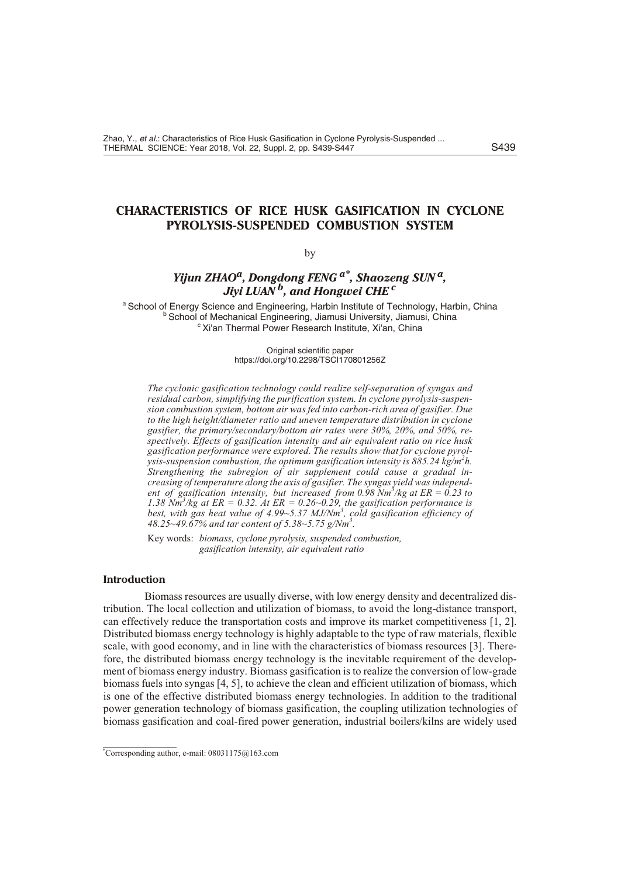# **CHARACTERISTICS OF RICE HUSK GASIFICATION IN CYCLONE PYROLYSIS-SUSPENDED COMBUSTION SYSTEM**

#### by

# *Yijun ZHAO<sup>a</sup> , Dongdong FENG a\*, Shaozeng SUN<sup>a</sup> , Jiyi LUAN b, and Hongwei CHE<sup>c</sup>*

<sup>a</sup> School of Energy Science and Engineering, Harbin Institute of Technology, Harbin, China b School of Mechanical Engineering, Jiamusi University, Jiamusi, China <sup>c</sup> Xi'an Thermal Power Research Institute, Xi'an, China

> Original scientific paper https://doi.org/10.2298/TSCI170801256Z

*The cyclonic gasification technology could realize self-separation of syngas and residual carbon, simplifying the purification system. In cyclone pyrolysis-suspension com bus tion sys tem, bot tom air was fed into carbon-rich area of gasifier. Due to the high height/diameter ratio and uneven temperature distribution in cyclone* gasifier, the primary/secondary/bottom air rates were 30%, 20%, and 50%, re*spectively. Effects of gasification intensity and air equivalent ratio on rice husk gasi fi ca tion per for mance were ex plored. The re sults show that for cy clone py rol y sis-sus pen sion com bus tion, the op ti mum gasi fi ca tion in ten sity is 885.24 kg/m<sup>2</sup> h. Strengthening the subregion of air supplement could cause a gradual increas ing of tem per a ture along the axis of gasifier. The syngas yield was in de pend*  ent of gasification intensity, but increased from 0.98 Nm<sup>3</sup>/kg at ER = 0.23 to 1.38  $Nm^3$ /kg at ER = 0.32. At ER = 0.26~0.29, the gasification performance is *best, with gas heat value of 4.99~5.37 MJ/Nm<sup>3</sup>, cold gasification efficiency of 48.25~49.67% and tar con tent of 5.38~5.75 g/Nm<sup>3</sup> .*

Key words: *biomass, cyclone pyrolysis, suspended combustion, gasi fi ca tion in ten sity, air equiv a lent ra tio*

#### **In tro duc tion**

Biomass resources are usually diverse, with low energy density and decentralized distribution. The local collection and utilization of biomass, to avoid the long-distance transport, can effectively reduce the transportation costs and improve its market competitiveness [1, 2]. Distributed biomass energy technology is highly adaptable to the type of raw materials, flexible scale, with good economy, and in line with the characteristics of biomass resources [3]. Therefore, the distributed biomass energy technology is the inevitable requirement of the development of biomass energy industry. Biomass gasification is to realize the conversion of low-grade biomass fuels into syngas  $[4, 5]$ , to achieve the clean and efficient utilization of biomass, which is one of the effective distributed biomass energy technologies. In addition to the traditional power generation technology of biomass gasification, the coupling utilization technologies of biomass gasification and coal-fired power generation, industrial boilers/kilns are widely used

<sup>\*</sup>Corresponding author, e-mail:  $08031175@163$ .com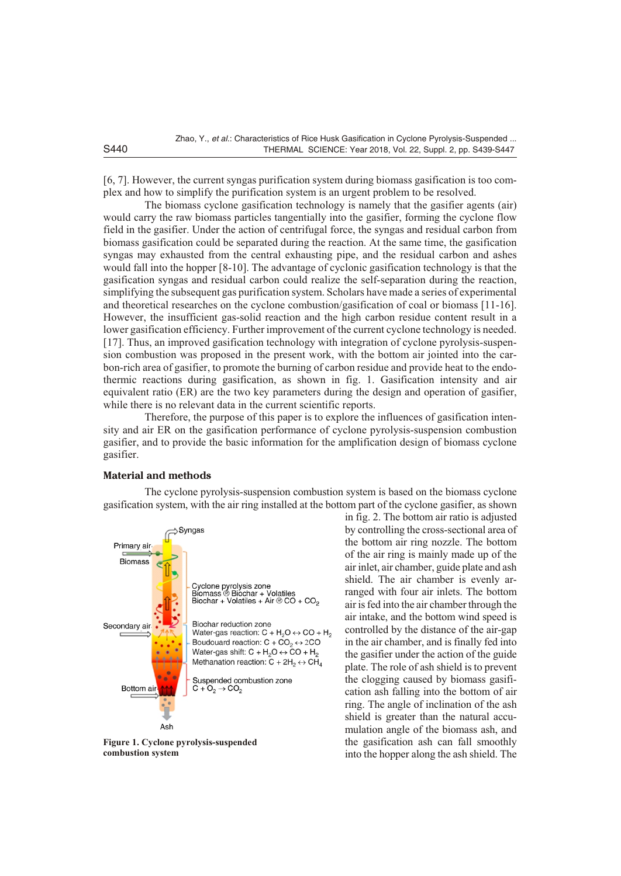[6, 7]. However, the current syngas purification system during biomass gasification is too complex and how to simplify the purification system is an urgent problem to be resolved.

The biomass cyclone gasification technology is namely that the gasifier agents (air) would carry the raw biomass particles tangentially into the gasifier, forming the cyclone flow field in the gasifier. Under the action of centrifugal force, the syngas and residual carbon from biomass gasification could be separated during the reaction. At the same time, the gasification syngas may exhausted from the central exhausting pipe, and the residual carbon and ashes would fall into the hopper [8-10]. The advantage of cyclonic gasification technology is that the gasification syngas and residual carbon could realize the self-separation during the reaction. simplifying the subsequent gas purification system. Scholars have made a series of experimental and the orietical researches on the cyclone combustion/gasification of coal or biomass  $[11-16]$ . However, the insufficient gas-solid reaction and the high carbon residue content result in a lower gasification efficiency. Further improvement of the current cyclone technology is needed. [17]. Thus, an improved gasification technology with integration of cyclone pyrolysis-suspension combustion was proposed in the present work, with the bottom air jointed into the carbon-rich area of gasifier, to promote the burning of carbon residue and provide heat to the endothermic reactions during gasification, as shown in fig. 1. Gasification intensity and air equivalent ratio (ER) are the two key parameters during the design and operation of gasifier, while there is no relevant data in the current scientific reports.

Therefore, the purpose of this paper is to explore the influences of gasification in tensity and air ER on the gasification performance of cyclone pyrolysis-suspension combustion gasifier, and to provide the basic information for the amplification design of biomass cyclone gasifier.

#### **Ma te rial and meth ods**

The cyclone pyrolysis-suspension combustion system is based on the biomass cyclone gasification system, with the air ring installed at the bottom part of the cyclone gasifier, as shown



**Figure 1. Cyclone pyrolysis-suspended combustion system**

in fig. 2. The bottom air ratio is adjusted by controlling the cross-sectional area of the bottom air ring nozzle. The bottom of the air ring is mainly made up of the air inlet, air chamber, guide plate and ash shield. The air chamber is evenly arranged with four air inlets. The bottom air is fed into the air chamber through the air intake, and the bottom wind speed is controlled by the distance of the air-gap in the air chamber, and is finally fed into the gasifier under the action of the guide plate. The role of ash shield is to prevent the clogging caused by biomass gasification ash falling into the bottom of air ring. The angle of inclination of the ash shield is greater than the natural accumulation angle of the biomass ash, and the gasification ash can fall smoothly into the hopper along the ash shield. The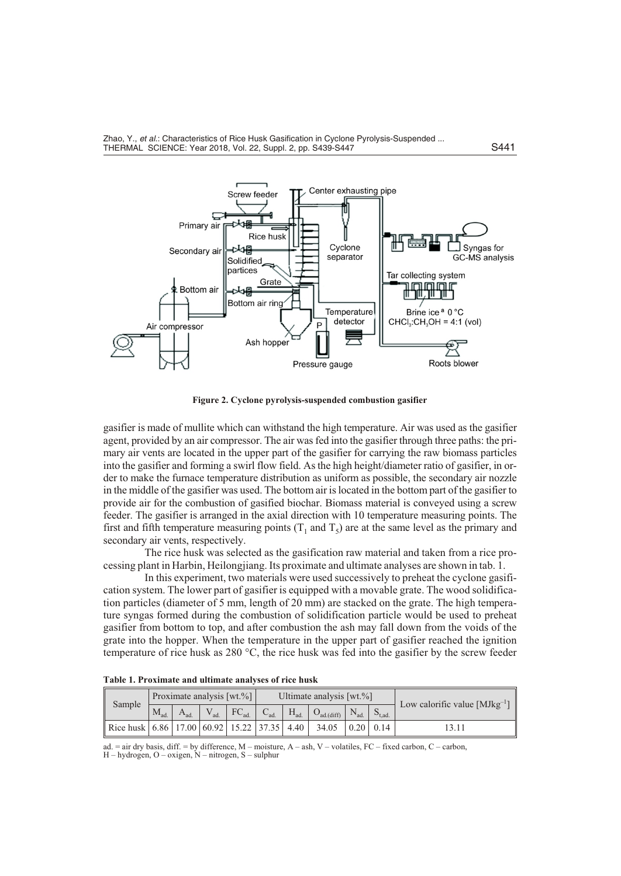

**Figure 2. Cyclone pyrolysis-suspended combustion gasifier**

gasifier is made of mullite which can with stand the high temperature. Air was used as the gasifier agent, provided by an air compressor. The air was fed into the gasifier through three paths: the primary air vents are located in the upper part of the gasifier for carrying the raw biomass particles into the gasifier and forming a swirl flow field. As the high height/diameter ratio of gasifier, in order to make the furnace temperature distribution as uniform as possible, the secondary air nozzle in the middle of the gasifier was used. The bottom air is located in the bottom part of the gasifier to provide air for the combustion of gasified biochar. Biomass material is conveyed using a screw feeder. The gasifier is arranged in the axial direction with 10 temperature measuring points. The first and fifth temperature measuring points  $(T_1$  and  $T_5)$  are at the same level as the primary and secondary air vents, respectively.

The rice husk was selected as the gasification raw material and taken from a rice processing plant in Harbin, Heilongjiang. Its proximate and ultimate analyses are shown in tab. 1.

In this experiment, two materials were used successively to preheat the cyclone gasification system. The lower part of gasifier is equipped with a movable grate. The wood solidification particles (diameter of 5 mm, length of 20 mm) are stacked on the grate. The high temperature syngas formed during the combustion of solidification particle would be used to preheat gasifier from bottom to top, and after combustion the ash may fall down from the voids of the grate into the hopper. When the temperature in the upper part of gasifier reached the ignition temperature of rice husk as 280  $\degree$ C, the rice husk was fed into the gasifier by the screw feeder

| Sample                                                  | Proximate analysis $\lceil wt.^{\%} \rceil$ |          |           |            | Ultimate analysis [wt.%] |           |                        |                  |                       | Low calorific value $[MJkg^{-1}]$ |
|---------------------------------------------------------|---------------------------------------------|----------|-----------|------------|--------------------------|-----------|------------------------|------------------|-----------------------|-----------------------------------|
|                                                         | $M_{ad.}$                                   | $A_{ad}$ | $V_{ad.}$ | $FC_{ad.}$ | $\cup_{\text{ad}}$       | $H_{ad.}$ | $U_{\text{ad.(diff)}}$ | $N_{ad.}$        | $\mathcal{D}_{t,ad.}$ |                                   |
| Rice husk   6.86   17.00   60.92   15.22   37.35   4.40 |                                             |          |           |            |                          |           | 34.05                  | $0.20 \mid 0.14$ |                       |                                   |

Table 1. Proximate and ultimate analyses of rice husk

ad.  $=$  air dry basis, diff.  $=$  by difference, M – moisture, A – ash, V – volatiles, FC – fixed carbon, C – carbon, H – hydrogen, O – oxigen, N – nitrogen, S – sulphur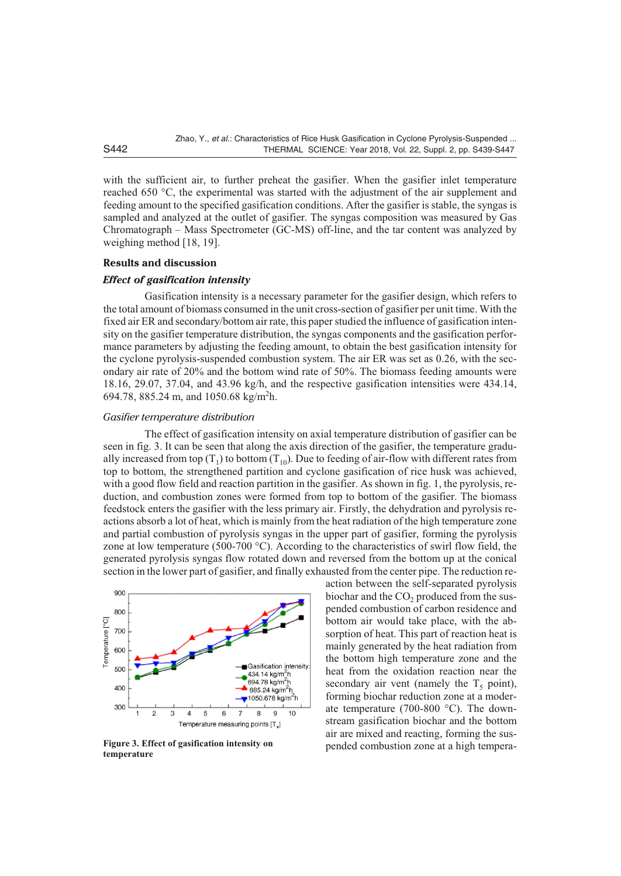with the sufficient air, to further preheat the gasifier. When the gasifier inlet temperature reached 650  $^{\circ}$ C, the experimental was started with the adjustment of the air supplement and feeding amount to the specified gasification conditions. After the gasifier is stable, the syngas is sampled and analyzed at the outlet of gasifier. The syngas composition was measured by Gas Chromatograph – Mass Spectrometer (GC-MS) off-line, and the tar content was analyzed by weighing method [18, 19].

#### **Re sults and dis cus sion**

#### *Ef fect of gasi fi ca tion in ten sity*

Gasification intensity is a necessary parameter for the gasifier design, which refers to the total amount of biomass consumed in the unit cross-section of gasifier per unit time. With the fixed air ER and secondary/bottom air rate, this paper studied the influence of gasification intensity on the gasifier temperature distribution, the syngas components and the gasification performance parameters by adjusting the feeding amount, to obtain the best gasification intensity for the cyclone pyrolysis-suspended combustion system. The air ER was set as  $0.26$ , with the secondary air rate of  $20\%$  and the bottom wind rate of  $50\%$ . The biomass feeding amounts were 18.16, 29.07, 37.04, and 43.96 kg/h, and the respective gasification intensities were  $434.14$ , 694.78, 885.24 m, and 1050.68 kg/m<sup>2</sup>h.

# *Gasifier temperature distribution*

The effect of gasification intensity on axial temperature distribution of gasifier can be seen in fig. 3. It can be seen that along the axis direction of the gasifier, the temperature gradually increased from top  $(T_1)$  to bottom  $(T_{10})$ . Due to feeding of air-flow with different rates from top to bottom, the strengthened partition and cyclone gasification of rice husk was achieved, with a good flow field and reaction partition in the gasifier. As shown in fig. 1, the pyrolysis, reduction, and combustion zones were formed from top to bottom of the gasifier. The biomass feedstock enters the gasifier with the less primary air. Firstly, the dehydration and pyrolysis reactions absorb a lot of heat, which is mainly from the heat radiation of the high temperature zone and partial combustion of pyrolysis syngas in the upper part of gasifier, forming the pyrolysis zone at low temperature (500-700  $^{\circ}$ C). According to the characteristics of swirl flow field, the generated pyrolysis syngas flow rotated down and reversed from the bottom up at the conical section in the lower part of gasifier, and finally exhausted from the center pipe. The reduction re-



**Figure 3. Effect of gasification intensity on temperature**

action between the self-separated pyrolysis biochar and the  $CO<sub>2</sub>$  produced from the suspended combustion of carbon residence and bottom air would take place, with the absorption of heat. This part of reaction heat is mainly generated by the heat radiation from the bottom high temperature zone and the heat from the oxidation reaction near the secondary air vent (namely the  $T_5$  point), forming biochar reduction zone at a moderate temperature (700-800  $^{\circ}$ C). The downstream gasification biochar and the bottom air are mixed and reacting, forming the suspended combustion zone at a high tempera-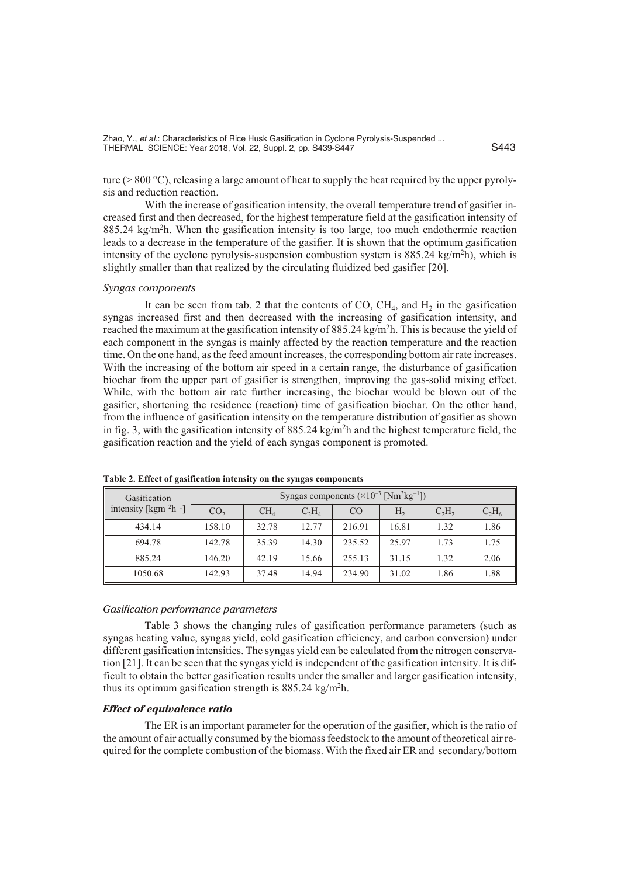ture ( $> 800 °C$ ), releasing a large amount of heat to supply the heat required by the upper pyrolysis and reduction reaction.

With the increase of gasification intensity, the overall temperature trend of gasifier increased first and then decreased, for the highest temperature field at the gasification intensity of  $885.24$  kg/m<sup>2</sup>h. When the gasification intensity is too large, too much endothermic reaction leads to a decrease in the temperature of the gasifier. It is shown that the optimum gasification intensity of the cyclone pyrolysis-suspension combustion system is  $885.24 \text{ kg/m}^2$ h), which is slightly smaller than that realized by the circulating fluidized bed gasifier [20].

# *Syngas com po nents*

It can be seen from tab. 2 that the contents of CO,  $CH_4$ , and  $H_2$  in the gasification syngas increased first and then decreased with the increasing of gasification intensity, and reached the maximum at the gasification intensity of  $885.24 \text{ kg/m}^2$ h. This is because the yield of each component in the syngas is mainly affected by the reaction temperature and the reaction time. On the one hand, as the feed amount increases, the corresponding bottom air rate increases. With the increasing of the bottom air speed in a certain range, the disturbance of gasification biochar from the upper part of gasifier is strengthen, improving the gas-solid mixing effect. While, with the bottom air rate further increasing, the biochar would be blown out of the gasifier, shortening the residence (reaction) time of gasification biochar. On the other hand, from the influence of gasification intensity on the temperature distribution of gasifier as shown in fig. 3, with the gasification intensity of  $885.24 \text{ kg/m}^2$ h and the highest temperature field, the gasification reaction and the yield of each syngas component is promoted.

| Gasification                 | Syngas components $(\times 10^{-3} \text{ [Nm3kg-1]})$ |                 |          |        |                |          |          |  |  |
|------------------------------|--------------------------------------------------------|-----------------|----------|--------|----------------|----------|----------|--|--|
| intensity $[kgm^{-2}h^{-1}]$ | CO <sub>2</sub>                                        | CH <sub>4</sub> | $C_2H_4$ | CO     | H <sub>2</sub> | $C_2H_2$ | $C_2H_6$ |  |  |
| 434.14                       | 158.10                                                 | 32.78           | 12.77    | 216.91 | 16.81          | 1.32     | 1.86     |  |  |
| 694.78                       | 142.78                                                 | 35.39           | 14.30    | 235.52 | 25.97          | 1.73     | 1.75     |  |  |
| 885.24                       | 146.20                                                 | 42.19           | 15.66    | 255.13 | 31.15          | 1.32     | 2.06     |  |  |
| 1050.68                      | 142.93                                                 | 37.48           | 14.94    | 234.90 | 31.02          | 1.86     | 1.88     |  |  |

Table 2. Effect of gasification intensity on the syngas components

# *Gasi fi ca tion per for mance pa ram e ters*

Table 3 shows the changing rules of gasification performance parameters (such as syngas heating value, syngas yield, cold gasification efficiency, and carbon conversion) under different gasification intensities. The syngas yield can be calculated from the nitrogen conservation  $[21]$ . It can be seen that the syngas yield is independent of the gasification intensity. It is difficult to obtain the better gasification results under the smaller and larger gasification intensity, thus its optimum gasification strength is  $885.24 \text{ kg/m}^2$ h.

# *Effect of equivalence ratio*

The ER is an important parameter for the operation of the gasifier, which is the ratio of the amount of air actually consumed by the biomass feedstock to the amount of theoretical air required for the complete combustion of the biomass. With the fixed air ER and secondary/bottom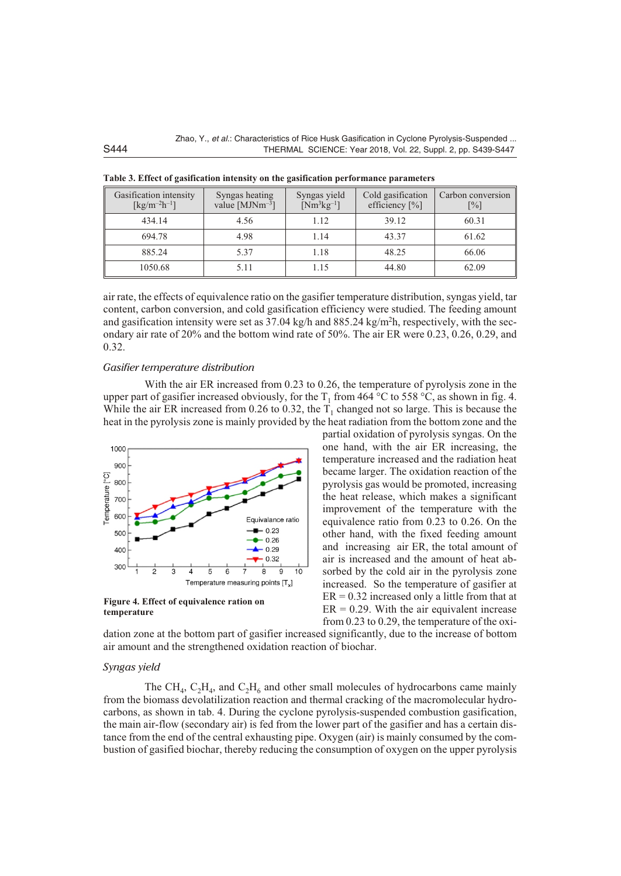| Gasification intensity<br>$\lceil \text{kg/m}^{-2} \text{h}^{-1} \rceil$ | Syngas heating<br>value $[MJNm^{-3}]$ | Syngas yield<br>$[Nm3kg-1]$ | Cold gasification<br>efficiency $[\%]$ | Carbon conversion<br>$\lceil\% \rceil$ |  |
|--------------------------------------------------------------------------|---------------------------------------|-----------------------------|----------------------------------------|----------------------------------------|--|
| 434.14                                                                   | 4.56                                  | 1.12                        | 39.12                                  | 60.31                                  |  |
| 694.78                                                                   | 4.98                                  | 1.14                        | 43.37                                  | 61.62                                  |  |
| 885.24                                                                   | 5.37                                  | 1.18                        | 48.25                                  | 66.06                                  |  |
| 1050.68                                                                  | 5.11                                  | 1.15                        | 44.80                                  | 62.09                                  |  |

Table 3. Effect of gasification intensity on the gasification performance parameters

air rate, the effects of equivalence ratio on the gasifier temperature distribution, syngas yield, tar content, carbon conversion, and cold gasification efficiency were studied. The feeding amount and gasification intensity were set as  $37.04 \text{ kg/h}$  and  $885.24 \text{ kg/m}^2$ h, respectively, with the secondary air rate of  $20\%$  and the bottom wind rate of  $50\%$ . The air ER were 0.23, 0.26, 0.29, and 0.32.

# *Gasifier temperature distribution*

With the air ER increased from  $0.23$  to  $0.26$ , the temperature of pyrolysis zone in the upper part of gasifier increased obviously, for the  $T_1$  from 464 °C to 558 °C, as shown in fig. 4. While the air ER increased from 0.26 to 0.32, the  $T_1$  changed not so large. This is because the heat in the pyrolysis zone is mainly provided by the heat radiation from the bottom zone and the



# **Figure 4. Effect of equivalence ration on temperature**

partial oxidation of pyrolysis syngas. On the one hand, with the air ER increasing, the temperature increased and the radiation heat became larger. The oxidation reaction of the pyrolysis gas would be promoted, increasing the heat release, which makes a significant improvement of the temperature with the equivalence ratio from  $0.23$  to  $0.26$ . On the other hand, with the fixed feeding amount and increasing air ER, the total amount of air is increased and the amount of heat absorbed by the cold air in the pyrolysis zone increased. So the temperature of gasifier at  $ER = 0.32$  increased only a little from that at  $ER = 0.29$ . With the air equivalent increase from  $0.23$  to  $0.29$ , the temperature of the oxi-

dation zone at the bottom part of gasifier increased significantly, due to the increase of bottom air amount and the strengthened oxidation reaction of biochar.

#### *Syngas yield*

The CH<sub>4</sub>, C<sub>2</sub>H<sub>4</sub>, and C<sub>2</sub>H<sub>6</sub> and other small molecules of hydrocarbons came mainly from the biomass devolatilization reaction and thermal cracking of the macromolecular hydrocarbons, as shown in tab. 4. During the cyclone pyrolysis-suspended combustion gasification. the main air-flow (secondary air) is fed from the lower part of the gasifier and has a certain distance from the end of the central exhausting pipe. Oxygen (air) is mainly consumed by the combustion of gasified biochar, thereby reducing the consumption of oxygen on the upper pyrolysis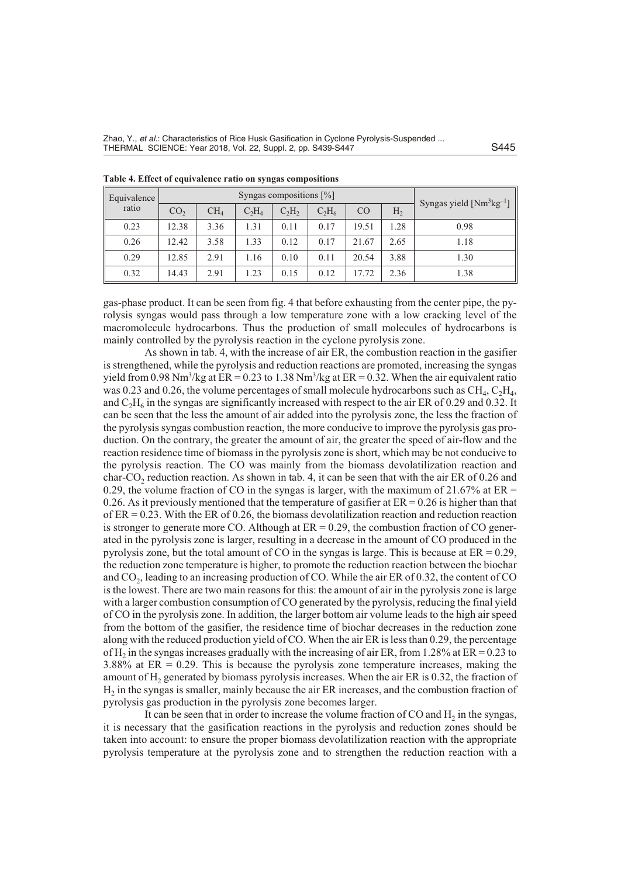| Equivalence<br>ratio |                 |                 | Syngas yield $[Nm^3kg^{-1}]$ |          |          |       |                |      |
|----------------------|-----------------|-----------------|------------------------------|----------|----------|-------|----------------|------|
|                      | CO <sub>2</sub> | CH <sub>4</sub> | $C_2H_4$                     | $C_2H_2$ | $C_2H_6$ | CO    | H <sub>2</sub> |      |
| 0.23                 | 12.38           | 3.36            | 1.31                         | 0.11     | 0.17     | 19.51 | 1.28           | 0.98 |
| 0.26                 | 12.42           | 3.58            | 1.33                         | 0.12     | 0.17     | 21.67 | 2.65           | 1.18 |
| 0.29                 | 12.85           | 2.91            | 1.16                         | 0.10     | 0.11     | 20.54 | 3.88           | 1.30 |
| 0.32                 | 14.43           | 2.91            | 1.23                         | 0.15     | 0.12     | 17.72 | 2.36           | 1.38 |

Table 4. Effect of equivalence ratio on syngas compositions

gas-phase product. It can be seen from fig. 4 that before exhausting from the center pipe, the pyrolysis syngas would pass through a low temperature zone with a low cracking level of the macromolecule hydrocarbons. Thus the production of small molecules of hydrocarbons is mainly controlled by the pyrolysis reaction in the cyclone pyrolysis zone.

As shown in tab. 4, with the increase of air ER, the combustion reaction in the gasifier is strengthened, while the pyrolysis and reduction reactions are promoted, increasing the syngas yield from 0.98 Nm<sup>3</sup>/kg at ER = 0.23 to 1.38 Nm<sup>3</sup>/kg at ER = 0.32. When the air equivalent ratio was 0.23 and 0.26, the volume percentages of small molecule hydrocarbons such as  $\rm CH_4, C_2H_4$ , and  $C_2H_6$  in the syngas are significantly increased with respect to the air ER of 0.29 and 0.32. It can be seen that the less the amount of air added into the pyrolysis zone, the less the fraction of the pyrolysis syngas combustion reaction, the more conducive to improve the pyrolysis gas production. On the contrary, the greater the amount of air, the greater the speed of air-flow and the reaction residence time of biomass in the pyrolysis zone is short, which may be not conducive to the pyrolysis reaction. The CO was mainly from the biomass devolatilization reaction and char-CO<sub>2</sub> reduction reaction. As shown in tab. 4, it can be seen that with the air ER of 0.26 and 0.29, the volume fraction of CO in the syngas is larger, with the maximum of 21.67% at ER = 0.26. As it previously mentioned that the temperature of gasifier at  $ER = 0.26$  is higher than that of  $ER = 0.23$ . With the ER of 0.26, the biomass devolatilization reaction and reduction reaction is stronger to generate more CO. Although at  $ER = 0.29$ , the combustion fraction of CO generated in the pyrolysis zone is larger, resulting in a decrease in the amount of CO produced in the pyrolysis zone, but the total amount of CO in the syngas is large. This is because at  $ER = 0.29$ , the reduction zone temperature is higher, to promote the reduction reaction between the biochar and  $CO_2$ , leading to an increasing production of CO. While the air ER of 0.32, the content of CO is the lowest. There are two main reasons for this: the amount of air in the pyrolysis zone is large with a larger combustion consumption of CO generated by the pyrolysis, reducing the final yield of CO in the pyrolysis zone. In addition, the larger bottom air volume leads to the high air speed from the bottom of the gasifier, the residence time of biochar decreases in the reduction zone along with the reduced production yield of CO. When the air ER is less than 0.29, the percentage of  $H_2$  in the syngas increases gradually with the increasing of air ER, from 1.28% at ER = 0.23 to 3.88% at  $ER = 0.29$ . This is because the pyrolysis zone temperature increases, making the amount of  $H_2$  generated by biomass pyrolysis increases. When the air ER is 0.32, the fraction of  $H_2$  in the syngas is smaller, mainly because the air ER increases, and the combustion fraction of pyrolysis gas production in the pyrolysis zone becomes larger.

It can be seen that in order to increase the volume fraction of CO and  $H_2$  in the syngas, it is necessary that the gasification reactions in the pyrolysis and reduction zones should be taken into account: to ensure the proper biomass devolatilization reaction with the appropriate pyrolysis temperature at the pyrolysis zone and to strengthen the reduction reaction with a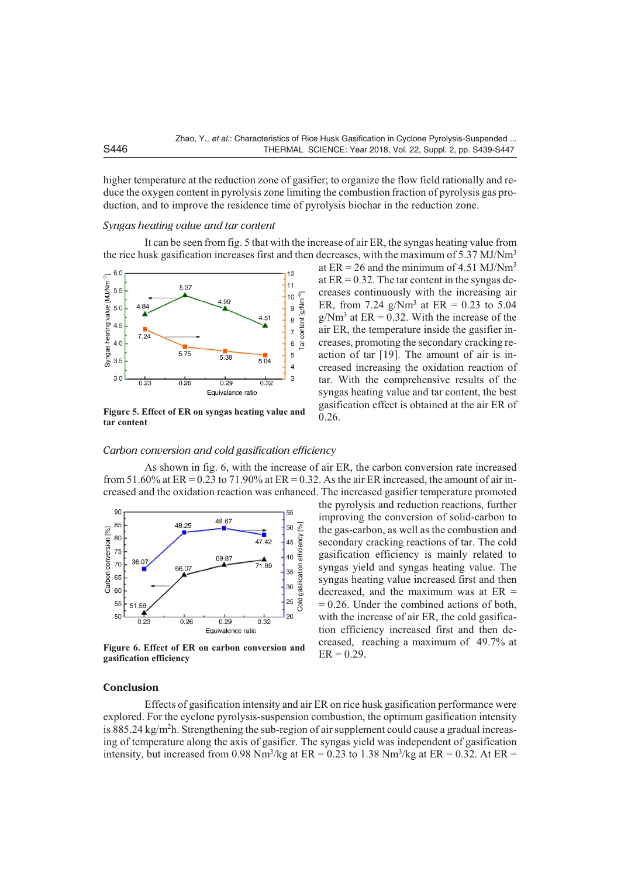higher temperature at the reduction zone of gasifier; to organize the flow field rationally and reduce the oxygen content in pyrolysis zone limiting the combustion fraction of pyrolysis gas production, and to improve the residence time of pyrolysis biochar in the reduction zone.

# *Syngas heating value and tar content*

It can be seen from fig. 5 that with the increase of air ER, the syngas heating value from the rice husk gasification increases first and then decreases, with the maximum of 5.37 MJ/Nm<sup>3</sup>



**Figure 5. Effect of ER on syngas heating value and tar content**

at  $ER = 26$  and the minimum of 4.51 MJ/Nm<sup>3</sup> at  $ER = 0.32$ . The tar content in the syngas decreases continuously with the increasing air ER, from 7.24  $g/Nm^3$  at ER = 0.23 to 5.04  $g/Nm<sup>3</sup>$  at ER = 0.32. With the increase of the air ER, the temperature inside the gasifier increases, promoting the secondary cracking reaction of tar  $[19]$ . The amount of air is increased increasing the oxidation reaction of tar. With the comprehensive results of the syngas heating value and tar content, the best gasification effect is obtained at the air ER of 0.26.

# *Carbon conversion and cold gasification efficiency*

As shown in fig. 6, with the increase of air ER, the carbon conversion rate increased from 51.60% at  $ER = 0.23$  to 71.90% at  $ER = 0.32$ . As the air  $ER$  increased, the amount of air increased and the oxidation reaction was enhanced. The increased gasifier temperature promoted



**Figure 6. Effect of ER on carbon conversion and gasification efficiency**

the pyrolysis and reduction reactions, further improving the conversion of solid-carbon to the gas-carbon, as well as the combustion and secondary cracking reactions of tar. The cold gasification efficiency is mainly related to syngas yield and syngas heating value. The syngas heating value increased first and then decreased, and the maximum was at  $ER =$  $= 0.26$ . Under the combined actions of both, with the increase of air ER, the cold gasification efficiency increased first and then decreased, reaching a maximum of 49.7% at  $ER = 0.29$ .

# **Con clu sion**

Effects of gasification intensity and air ER on rice husk gasification performance were explored. For the cyclone pyrolysis-suspension combustion, the optimum gasification intensity is 885.24 kg/m<sup>2</sup>h. Strengthening the sub-region of air supplement could cause a gradual increasing of temperature along the axis of gasifier. The syngas yield was independent of gasification intensity, but increased from 0.98  $Nm^3/kg$  at ER = 0.23 to 1.38  $Nm^3/kg$  at ER = 0.32. At ER =